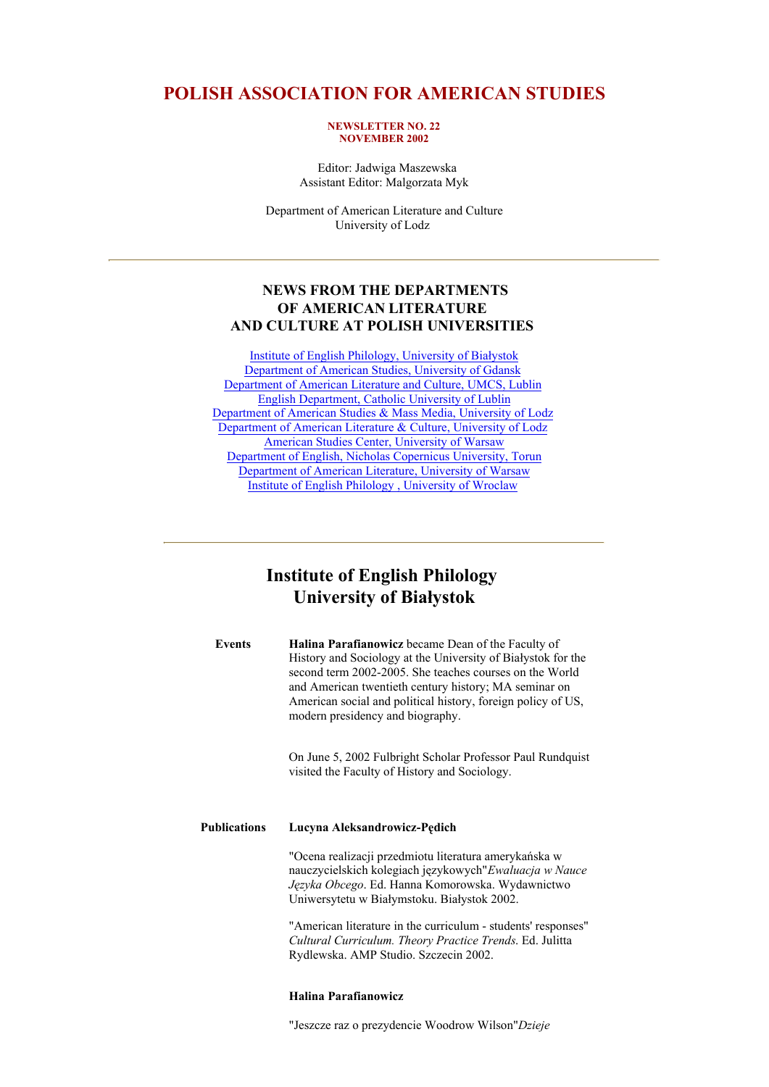## **POLISH ASSOCIATION FOR AMERICAN STUDIES**

#### **NEWSLETTER NO. 22 NOVEMBER 2002**

 Editor: Jadwiga Maszewska Assistant Editor: Malgorzata Myk

Department of American Literature and Culture University of Lodz

## **NEWS FROM THE DEPARTMENTS OF AMERICAN LITERATURE AND CULTURE AT POLISH UNIVERSITIES**

Institute of English Philology, University of Białystok Department of American Studies, University of Gdansk Department of American Literature and Culture, UMCS, Lublin English Department, Catholic University of Lublin Department of American Studies & Mass Media, University of Lodz Department of American Literature & Culture, University of Lodz American Studies Center, University of Warsaw Department of English, Nicholas Copernicus University, Torun Department of American Literature, University of Warsaw Institute of English Philology , University of Wroclaw

## **Institute of English Philology University of Białystok**

| Events | <b>Halina Parafianowicz</b> became Dean of the Faculty of    |
|--------|--------------------------------------------------------------|
|        | History and Sociology at the University of Białystok for the |
|        | second term 2002-2005. She teaches courses on the World      |
|        | and American twentieth century history, MA seminar on        |
|        | American social and political history, foreign policy of US, |
|        | modern presidency and biography.                             |

On June 5, 2002 Fulbright Scholar Professor Paul Rundquist visited the Faculty of History and Sociology.

### **Publications Lucyna Aleksandrowicz-Pędich**

"Ocena realizacji przedmiotu literatura amerykańska w nauczycielskich kolegiach językowych"*Ewaluacja w Nauce Języka Obcego*. Ed. Hanna Komorowska. Wydawnictwo Uniwersytetu w Białymstoku. Białystok 2002.

"American literature in the curriculum - students' responses" *Cultural Curriculum. Theory Practice Trends*. Ed. Julitta Rydlewska. AMP Studio. Szczecin 2002.

## **Halina Parafianowicz**

"Jeszcze raz o prezydencie Woodrow Wilson"*Dzieje*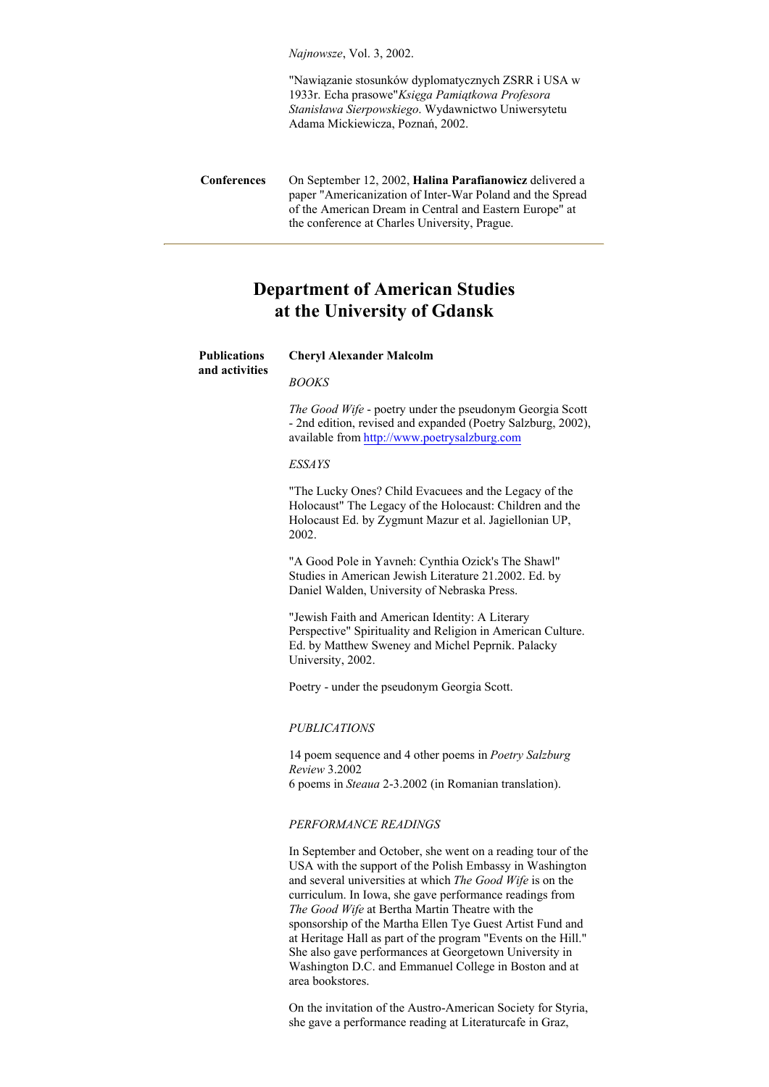*Najnowsze*, Vol. 3, 2002.

"Nawiązanie stosunków dyplomatycznych ZSRR i USA w 1933r. Echa prasowe"*Księga Pamiątkowa Profesora Stanisława Sierpowskiego*. Wydawnictwo Uniwersytetu Adama Mickiewicza, Poznań, 2002.

## **Department of American Studies at the University of Gdansk**

**Cheryl Alexander Malcolm**

## **Publications**

**and activities**

*BOOKS*

*The Good Wife* - poetry under the pseudonym Georgia Scott - 2nd edition, revised and expanded (Poetry Salzburg, 2002), available from http://www.poetrysalzburg.com

#### *ESSAYS*

"The Lucky Ones? Child Evacuees and the Legacy of the Holocaust" The Legacy of the Holocaust: Children and the Holocaust Ed. by Zygmunt Mazur et al. Jagiellonian UP, 2002.

"A Good Pole in Yavneh: Cynthia Ozick's The Shawl" Studies in American Jewish Literature 21.2002. Ed. by Daniel Walden, University of Nebraska Press.

"Jewish Faith and American Identity: A Literary Perspective" Spirituality and Religion in American Culture. Ed. by Matthew Sweney and Michel Peprnik. Palacky University, 2002.

Poetry - under the pseudonym Georgia Scott.

#### *PUBLICATIONS*

14 poem sequence and 4 other poems in *Poetry Salzburg Review* 3.2002 6 poems in *Steaua* 2-3.2002 (in Romanian translation).

## *PERFORMANCE READINGS*

In September and October, she went on a reading tour of the USA with the support of the Polish Embassy in Washington and several universities at which *The Good Wife* is on the curriculum. In Iowa, she gave performance readings from *The Good Wife* at Bertha Martin Theatre with the sponsorship of the Martha Ellen Tye Guest Artist Fund and at Heritage Hall as part of the program "Events on the Hill." She also gave performances at Georgetown University in Washington D.C. and Emmanuel College in Boston and at area bookstores.

On the invitation of the Austro-American Society for Styria, she gave a performance reading at Literaturcafe in Graz,

**Conferences** On September 12, 2002, **Halina Parafianowicz** delivered a paper "Americanization of Inter-War Poland and the Spread of the American Dream in Central and Eastern Europe" at the conference at Charles University, Prague.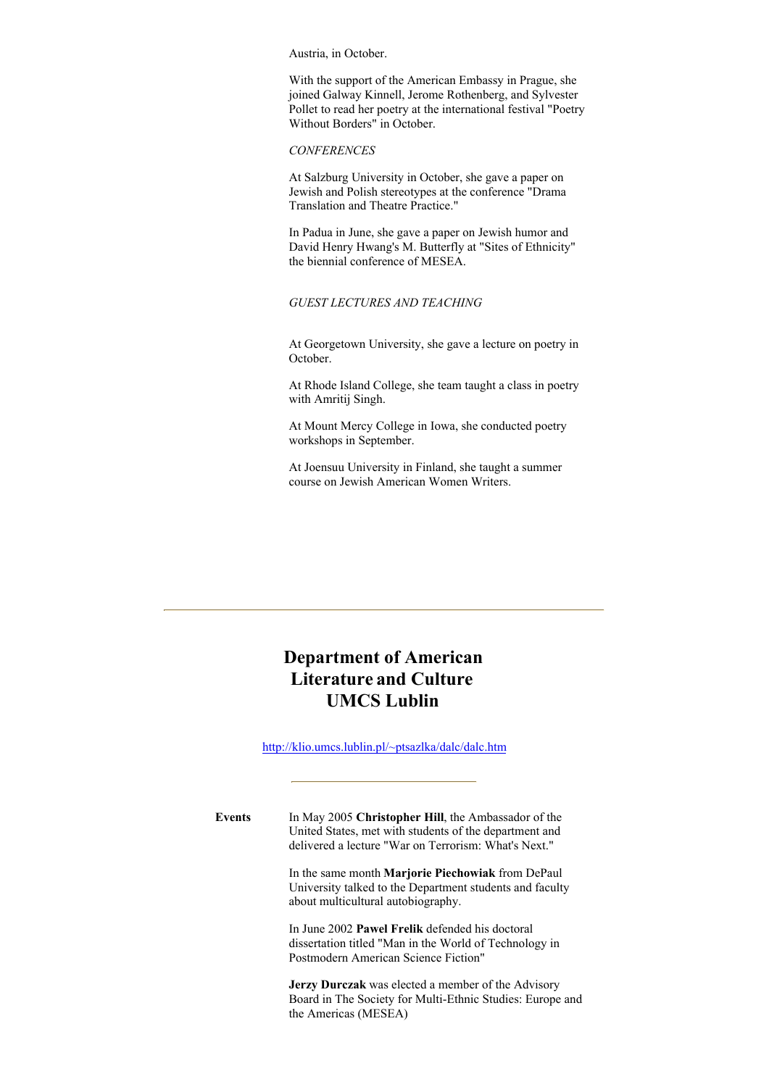Austria, in October.

With the support of the American Embassy in Prague, she joined Galway Kinnell, Jerome Rothenberg, and Sylvester Pollet to read her poetry at the international festival "Poetry Without Borders" in October.

## *CONFERENCES*

At Salzburg University in October, she gave a paper on Jewish and Polish stereotypes at the conference "Drama Translation and Theatre Practice."

In Padua in June, she gave a paper on Jewish humor and David Henry Hwang's M. Butterfly at "Sites of Ethnicity" the biennial conference of MESEA.

## *GUEST LECTURES AND TEACHING*

At Georgetown University, she gave a lecture on poetry in October.

At Rhode Island College, she team taught a class in poetry with Amritij Singh.

At Mount Mercy College in Iowa, she conducted poetry workshops in September.

At Joensuu University in Finland, she taught a summer course on Jewish American Women Writers.

# **Department of American Literature and Culture UMCS Lublin**

http://klio.umcs.lublin.pl/~ptsazlka/dalc/dalc.htm

**Events** In May 2005 **Christopher Hill**, the Ambassador of the United States, met with students of the department and delivered a lecture "War on Terrorism: What's Next."

> In the same month **Marjorie Piechowiak** from DePaul University talked to the Department students and faculty about multicultural autobiography.

In June 2002 **Pawel Frelik** defended his doctoral dissertation titled "Man in the World of Technology in Postmodern American Science Fiction"

**Jerzy Durczak** was elected a member of the Advisory Board in The Society for Multi-Ethnic Studies: Europe and the Americas (MESEA)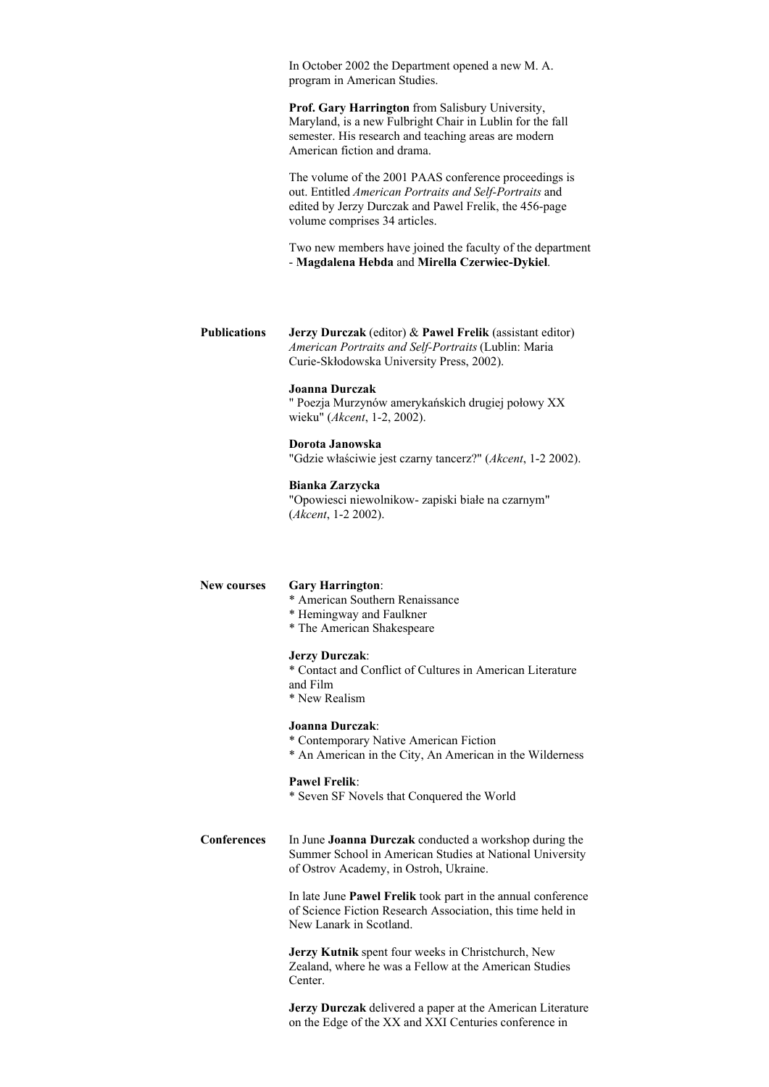In October 2002 the Department opened a new M. A. program in American Studies.

**Prof. Gary Harrington** from Salisbury University, Maryland, is a new Fulbright Chair in Lublin for the fall semester. His research and teaching areas are modern American fiction and drama.

The volume of the 2001 PAAS conference proceedings is out. Entitled *American Portraits and Self-Portraits* and edited by Jerzy Durczak and Pawel Frelik, the 456-page volume comprises 34 articles.

Two new members have joined the faculty of the department - **Magdalena Hebda** and **Mirella Czerwiec-Dykiel**.

**Publications Jerzy Durczak** (editor) & **Pawel Frelik** (assistant editor) *American Portraits and Self-Portraits* (Lublin: Maria Curie-Skłodowska University Press, 2002).

## **Joanna Durczak**

" Poezja Murzynów amerykańskich drugiej połowy XX wieku" (*Akcent*, 1-2, 2002).

#### **Dorota Janowska**

"Gdzie właściwie jest czarny tancerz?" (*Akcent*, 1-2 2002).

#### **Bianka Zarzycka**

"Opowiesci niewolnikow- zapiski białe na czarnym" (*Akcent*, 1-2 2002).

## **New courses Gary Harrington**: \* American Southern Renaissance \* Hemingway and Faulkner \* The American Shakespeare **Jerzy Durczak**: \* Contact and Conflict of Cultures in American Literature and Film \* New Realism **Joanna Durczak**: \* Contemporary Native American Fiction \* An American in the City, An American in the Wilderness **Pawel Frelik**: \* Seven SF Novels that Conquered the World **Conferences** In June **Joanna Durczak** conducted a workshop during the Summer School in American Studies at National University of Ostrov Academy, in Ostroh, Ukraine. In late June **Pawel Frelik** took part in the annual conference of Science Fiction Research Association, this time held in New Lanark in Scotland. **Jerzy Kutnik** spent four weeks in Christchurch, New Zealand, where he was a Fellow at the American Studies Center.

**Jerzy Durczak** delivered a paper at the American Literature on the Edge of the XX and XXI Centuries conference in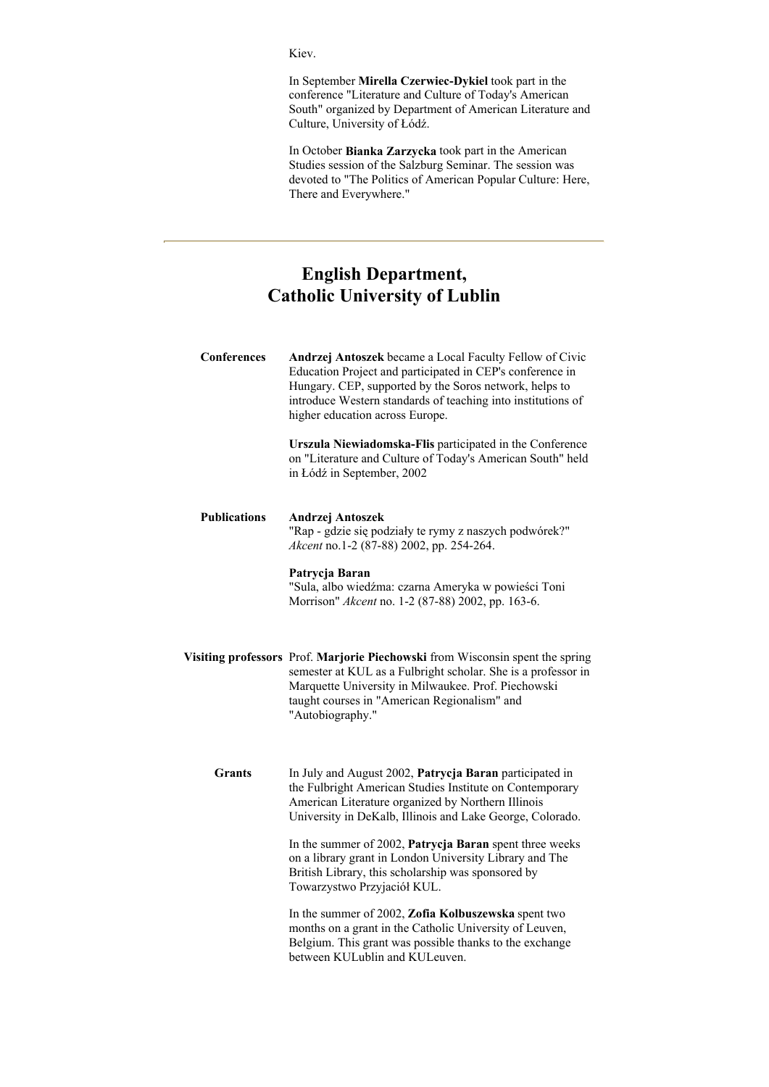## Kiev.

In September **Mirella Czerwiec-Dykiel** took part in the conference "Literature and Culture of Today's American South" organized by Department of American Literature and Culture, University of Łódź.

In October **Bianka Zarzycka** took part in the American Studies session of the Salzburg Seminar. The session was devoted to "The Politics of American Popular Culture: Here, There and Everywhere."

# **English Department, Catholic University of Lublin**

| Conferences         | Andrzej Antoszek became a Local Faculty Fellow of Civic<br>Education Project and participated in CEP's conference in<br>Hungary. CEP, supported by the Soros network, helps to<br>introduce Western standards of teaching into institutions of<br>higher education across Europe. |
|---------------------|-----------------------------------------------------------------------------------------------------------------------------------------------------------------------------------------------------------------------------------------------------------------------------------|
|                     | Urszula Niewiadomska-Flis participated in the Conference<br>on "Literature and Culture of Today's American South" held<br>in Łódź in September, 2002                                                                                                                              |
| <b>Publications</b> | Andrzej Antoszek<br>"Rap - gdzie się podziały te rymy z naszych podwórek?"<br>Akcent no.1-2 (87-88) 2002, pp. 254-264.                                                                                                                                                            |
|                     | Patrycja Baran<br>"Sula, albo wiedźma: czarna Ameryka w powieści Toni<br>Morrison" Akcent no. 1-2 (87-88) 2002, pp. 163-6.                                                                                                                                                        |
|                     | Visiting professors Prof. Marjorie Piechowski from Wisconsin spent the spring<br>semester at KUL as a Fulbright scholar. She is a professor in<br>Marquette University in Milwaukee. Prof. Piechowski<br>taught courses in "American Regionalism" and<br>"Autobiography."         |
| <b>Grants</b>       | In July and August 2002, Patrycja Baran participated in<br>the Fulbright American Studies Institute on Contemporary<br>American Literature organized by Northern Illinois<br>University in DeKalb, Illinois and Lake George, Colorado.                                            |
|                     | In the summer of 2002, Patrycja Baran spent three weeks<br>on a library grant in London University Library and The<br>British Library, this scholarship was sponsored by<br>Towarzystwo Przyjaciół KUL.                                                                           |
|                     | In the summer of 2002, Zofia Kolbuszewska spent two<br>months on a grant in the Catholic University of Leuven,                                                                                                                                                                    |

Belgium. This grant was possible thanks to the exchange between KULublin and KULeuven.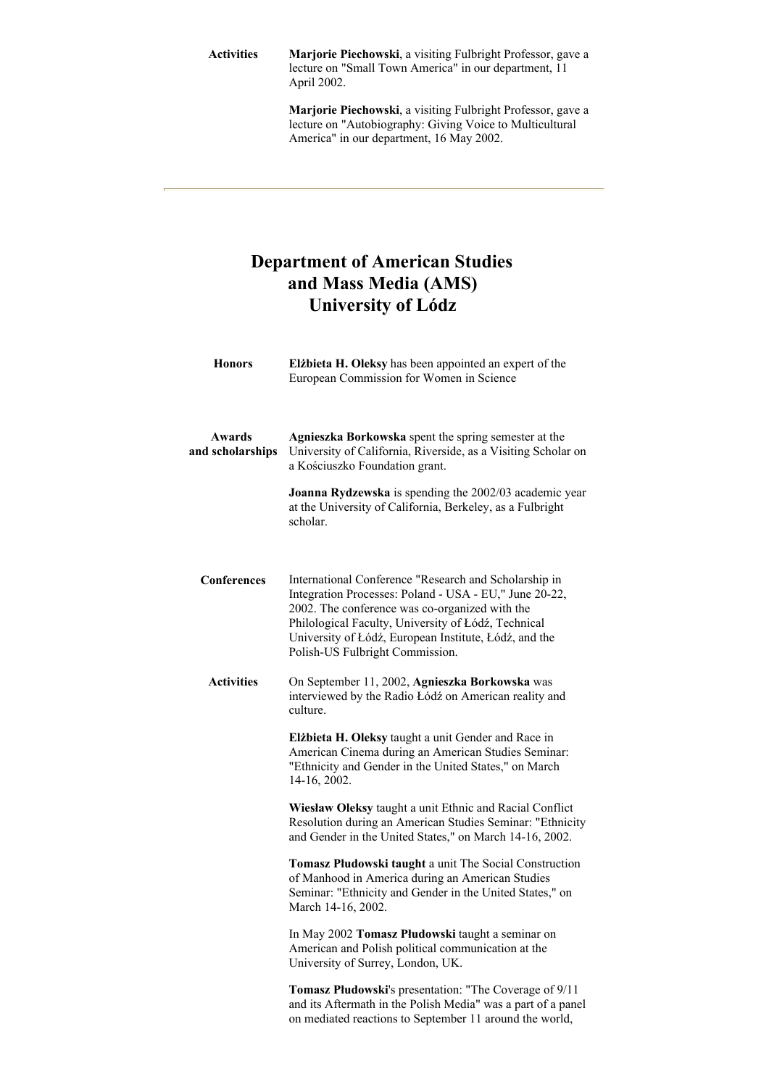**Activities Marjorie Piechowski**, a visiting Fulbright Professor, gave a lecture on "Small Town America" in our department, 11 April 2002.

> **Marjorie Piechowski**, a visiting Fulbright Professor, gave a lecture on "Autobiography: Giving Voice to Multicultural America" in our department, 16 May 2002.

# **Department of American Studies and Mass Media (AMS) University of Lódz**

| <b>Honors</b>              | Elżbieta H. Oleksy has been appointed an expert of the<br>European Commission for Women in Science                                                                                                                                                                                                                   |
|----------------------------|----------------------------------------------------------------------------------------------------------------------------------------------------------------------------------------------------------------------------------------------------------------------------------------------------------------------|
| Awards<br>and scholarships | Agnieszka Borkowska spent the spring semester at the<br>University of California, Riverside, as a Visiting Scholar on<br>a Kościuszko Foundation grant.                                                                                                                                                              |
|                            | Joanna Rydzewska is spending the 2002/03 academic year<br>at the University of California, Berkeley, as a Fulbright<br>scholar.                                                                                                                                                                                      |
| <b>Conferences</b>         | International Conference "Research and Scholarship in<br>Integration Processes: Poland - USA - EU," June 20-22,<br>2002. The conference was co-organized with the<br>Philological Faculty, University of Łódź, Technical<br>University of Łódź, European Institute, Łódź, and the<br>Polish-US Fulbright Commission. |
| <b>Activities</b>          | On September 11, 2002, Agnieszka Borkowska was<br>interviewed by the Radio Łódź on American reality and<br>culture.                                                                                                                                                                                                  |
|                            | Elżbieta H. Oleksy taught a unit Gender and Race in<br>American Cinema during an American Studies Seminar:<br>"Ethnicity and Gender in the United States," on March<br>14-16, 2002.                                                                                                                                  |
|                            | Wiesław Oleksy taught a unit Ethnic and Racial Conflict<br>Resolution during an American Studies Seminar: "Ethnicity<br>and Gender in the United States," on March 14-16, 2002.                                                                                                                                      |
|                            | Tomasz Płudowski taught a unit The Social Construction<br>of Manhood in America during an American Studies<br>Seminar: "Ethnicity and Gender in the United States," on<br>March 14-16, 2002.                                                                                                                         |
|                            | In May 2002 Tomasz Płudowski taught a seminar on<br>American and Polish political communication at the<br>University of Surrey, London, UK.                                                                                                                                                                          |
|                            | Tomasz Płudowski's presentation: "The Coverage of 9/11<br>and its Aftermath in the Polish Media" was a part of a panel<br>on mediated reactions to September 11 around the world,                                                                                                                                    |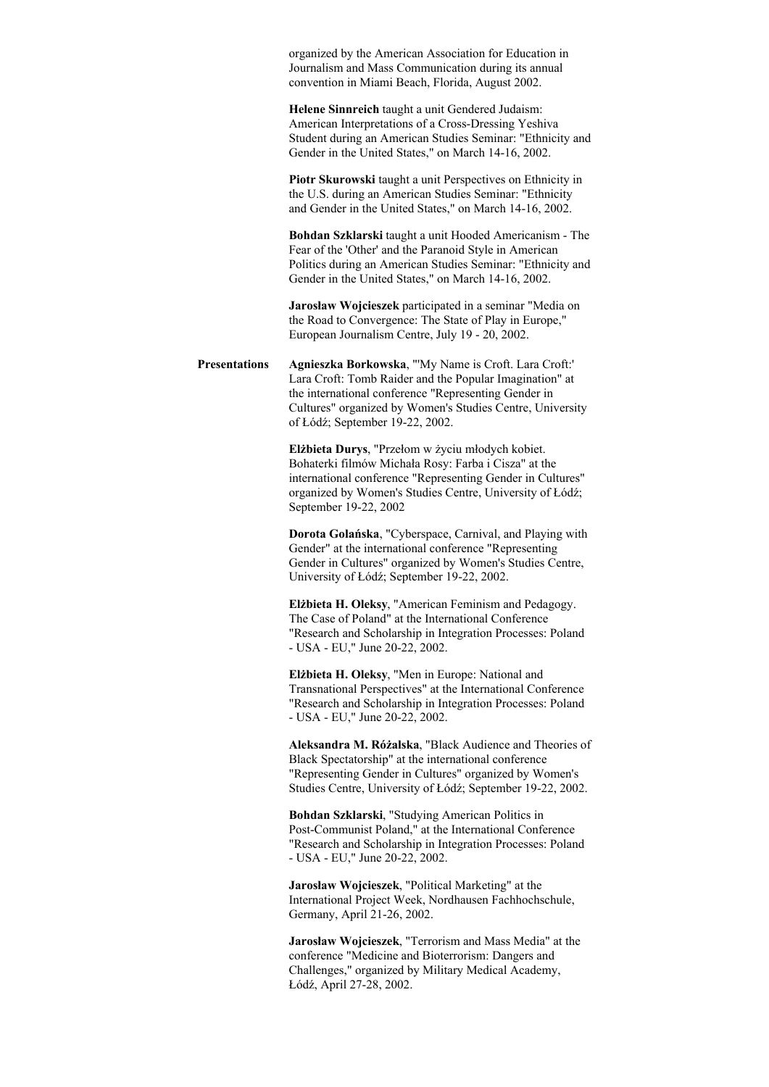organized by the American Association for Education in Journalism and Mass Communication during its annual convention in Miami Beach, Florida, August 2002.

**Helene Sinnreich** taught a unit Gendered Judaism: American Interpretations of a Cross-Dressing Yeshiva Student during an American Studies Seminar: "Ethnicity and Gender in the United States," on March 14-16, 2002.

**Piotr Skurowski** taught a unit Perspectives on Ethnicity in the U.S. during an American Studies Seminar: "Ethnicity and Gender in the United States," on March 14-16, 2002.

**Bohdan Szklarski** taught a unit Hooded Americanism - The Fear of the 'Other' and the Paranoid Style in American Politics during an American Studies Seminar: "Ethnicity and Gender in the United States," on March 14-16, 2002.

**Jarosław Wojcieszek** participated in a seminar "Media on the Road to Convergence: The State of Play in Europe," European Journalism Centre, July 19 - 20, 2002.

**Presentations Agnieszka Borkowska**, "'My Name is Croft. Lara Croft:' Lara Croft: Tomb Raider and the Popular Imagination" at the international conference "Representing Gender in Cultures" organized by Women's Studies Centre, University of Łódź; September 19-22, 2002.

> **Elżbieta Durys**, "Przełom w życiu młodych kobiet. Bohaterki filmów Michała Rosy: Farba i Cisza" at the international conference "Representing Gender in Cultures" organized by Women's Studies Centre, University of Łódź; September 19-22, 2002

**Dorota Golańska**, "Cyberspace, Carnival, and Playing with Gender" at the international conference "Representing Gender in Cultures" organized by Women's Studies Centre, University of Łódź; September 19-22, 2002.

**Elżbieta H. Oleksy**, "American Feminism and Pedagogy. The Case of Poland" at the International Conference "Research and Scholarship in Integration Processes: Poland - USA - EU," June 20-22, 2002.

**Elżbieta H. Oleksy**, "Men in Europe: National and Transnational Perspectives" at the International Conference "Research and Scholarship in Integration Processes: Poland - USA - EU," June 20-22, 2002.

**Aleksandra M. Różalska**, "Black Audience and Theories of Black Spectatorship" at the international conference "Representing Gender in Cultures" organized by Women's Studies Centre, University of Łódź; September 19-22, 2002.

**Bohdan Szklarski**, "Studying American Politics in Post-Communist Poland," at the International Conference "Research and Scholarship in Integration Processes: Poland - USA - EU," June 20-22, 2002.

**Jarosław Wojcieszek**, "Political Marketing" at the International Project Week, Nordhausen Fachhochschule, Germany, April 21-26, 2002.

**Jarosław Wojcieszek**, "Terrorism and Mass Media" at the conference "Medicine and Bioterrorism: Dangers and Challenges," organized by Military Medical Academy, Łódź, April 27-28, 2002.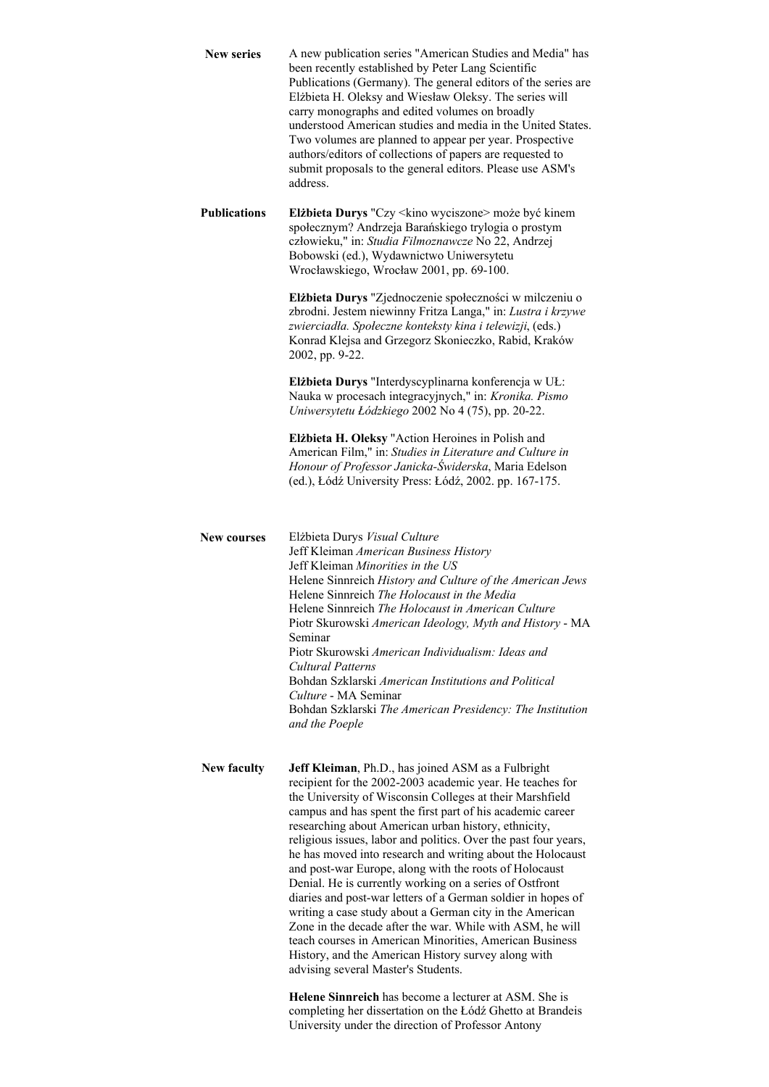| <b>New series</b>   | A new publication series "American Studies and Media" has<br>been recently established by Peter Lang Scientific<br>Publications (Germany). The general editors of the series are<br>Elżbieta H. Oleksy and Wiesław Oleksy. The series will<br>carry monographs and edited volumes on broadly<br>understood American studies and media in the United States.<br>Two volumes are planned to appear per year. Prospective<br>authors/editors of collections of papers are requested to<br>submit proposals to the general editors. Please use ASM's<br>address.                                                                                                                                                                                                                                                                                                                                              |
|---------------------|-----------------------------------------------------------------------------------------------------------------------------------------------------------------------------------------------------------------------------------------------------------------------------------------------------------------------------------------------------------------------------------------------------------------------------------------------------------------------------------------------------------------------------------------------------------------------------------------------------------------------------------------------------------------------------------------------------------------------------------------------------------------------------------------------------------------------------------------------------------------------------------------------------------|
| <b>Publications</b> | Elżbieta Durys "Czy < kino wyciszone> może być kinem<br>społecznym? Andrzeja Barańskiego trylogia o prostym<br>człowieku," in: Studia Filmoznawcze No 22, Andrzej<br>Bobowski (ed.), Wydawnictwo Uniwersytetu<br>Wrocławskiego, Wrocław 2001, pp. 69-100.                                                                                                                                                                                                                                                                                                                                                                                                                                                                                                                                                                                                                                                 |
|                     | Elżbieta Durys "Zjednoczenie społeczności w milczeniu o<br>zbrodni. Jestem niewinny Fritza Langa," in: Lustra i krzywe<br>zwierciadła. Społeczne konteksty kina i telewizji, (eds.)<br>Konrad Klejsa and Grzegorz Skonieczko, Rabid, Kraków<br>2002, pp. 9-22.                                                                                                                                                                                                                                                                                                                                                                                                                                                                                                                                                                                                                                            |
|                     | Elżbieta Durys "Interdyscyplinarna konferencja w UŁ:<br>Nauka w procesach integracyjnych," in: Kronika. Pismo<br>Uniwersytetu Łódzkiego 2002 No 4 (75), pp. 20-22.                                                                                                                                                                                                                                                                                                                                                                                                                                                                                                                                                                                                                                                                                                                                        |
|                     | Elżbieta H. Oleksy "Action Heroines in Polish and<br>American Film," in: Studies in Literature and Culture in<br>Honour of Professor Janicka-Świderska, Maria Edelson<br>(ed.), Łódź University Press: Łódź, 2002. pp. 167-175.                                                                                                                                                                                                                                                                                                                                                                                                                                                                                                                                                                                                                                                                           |
| <b>New courses</b>  | Elżbieta Durys Visual Culture<br>Jeff Kleiman American Business History<br>Jeff Kleiman Minorities in the US<br>Helene Sinnreich History and Culture of the American Jews<br>Helene Sinnreich The Holocaust in the Media<br>Helene Sinnreich The Holocaust in American Culture<br>Piotr Skurowski American Ideology, Myth and History - MA<br>Seminar<br>Piotr Skurowski American Individualism: Ideas and<br>Cultural Patterns<br>Bohdan Szklarski American Institutions and Political<br>Culture - MA Seminar<br>Bohdan Szklarski The American Presidency: The Institution<br>and the Poeple                                                                                                                                                                                                                                                                                                            |
| New faculty         | Jeff Kleiman, Ph.D., has joined ASM as a Fulbright<br>recipient for the 2002-2003 academic year. He teaches for<br>the University of Wisconsin Colleges at their Marshfield<br>campus and has spent the first part of his academic career<br>researching about American urban history, ethnicity,<br>religious issues, labor and politics. Over the past four years,<br>he has moved into research and writing about the Holocaust<br>and post-war Europe, along with the roots of Holocaust<br>Denial. He is currently working on a series of Ostfront<br>diaries and post-war letters of a German soldier in hopes of<br>writing a case study about a German city in the American<br>Zone in the decade after the war. While with ASM, he will<br>teach courses in American Minorities, American Business<br>History, and the American History survey along with<br>advising several Master's Students. |
|                     | Helene Sinnreich has become a lecturer at ASM. She is<br>completing her dissertation on the Łódź Ghetto at Brandeis                                                                                                                                                                                                                                                                                                                                                                                                                                                                                                                                                                                                                                                                                                                                                                                       |

University under the direction of Professor Antony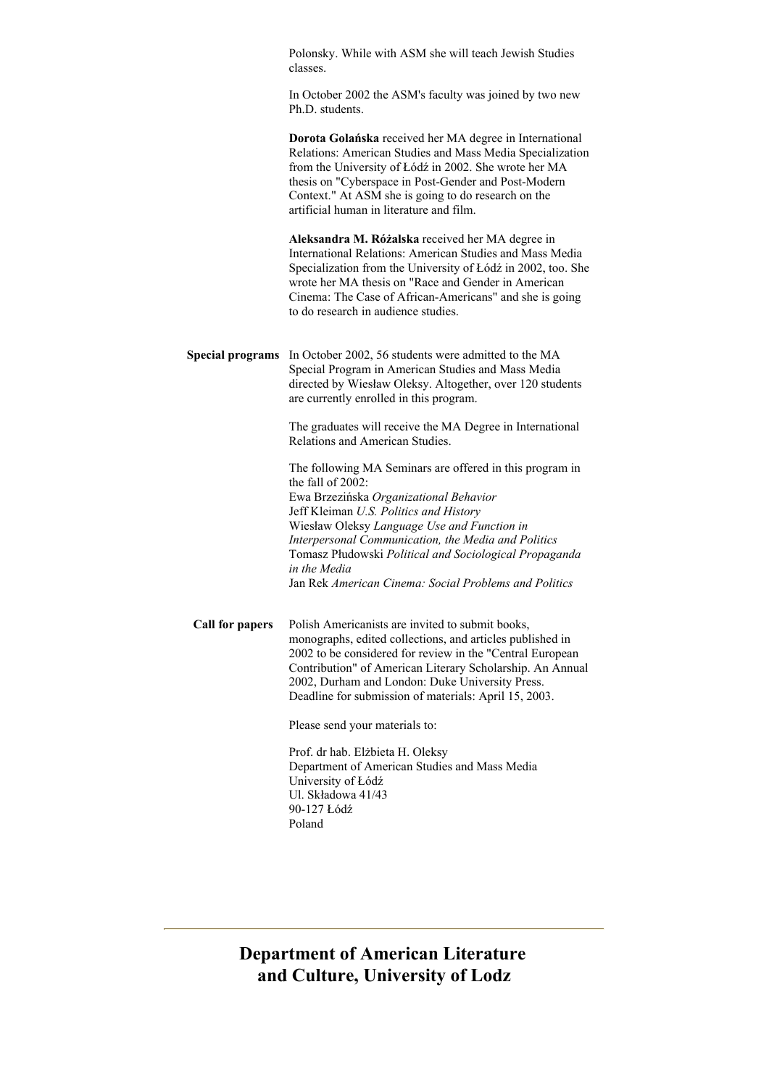|                         | Polonsky. While with ASM she will teach Jewish Studies<br>classes.                                                                                                                                                                                                                                                                                                                                         |
|-------------------------|------------------------------------------------------------------------------------------------------------------------------------------------------------------------------------------------------------------------------------------------------------------------------------------------------------------------------------------------------------------------------------------------------------|
|                         | In October 2002 the ASM's faculty was joined by two new<br>Ph.D. students.                                                                                                                                                                                                                                                                                                                                 |
|                         | Dorota Golańska received her MA degree in International<br>Relations: American Studies and Mass Media Specialization<br>from the University of Łódź in 2002. She wrote her MA<br>thesis on "Cyberspace in Post-Gender and Post-Modern<br>Context." At ASM she is going to do research on the<br>artificial human in literature and film.                                                                   |
|                         | Aleksandra M. Różalska received her MA degree in<br>International Relations: American Studies and Mass Media<br>Specialization from the University of Łódź in 2002, too. She<br>wrote her MA thesis on "Race and Gender in American<br>Cinema: The Case of African-Americans" and she is going<br>to do research in audience studies.                                                                      |
| <b>Special programs</b> | In October 2002, 56 students were admitted to the MA<br>Special Program in American Studies and Mass Media<br>directed by Wiesław Oleksy. Altogether, over 120 students<br>are currently enrolled in this program.                                                                                                                                                                                         |
|                         | The graduates will receive the MA Degree in International<br>Relations and American Studies.                                                                                                                                                                                                                                                                                                               |
|                         | The following MA Seminars are offered in this program in<br>the fall of 2002:<br>Ewa Brzezińska Organizational Behavior<br>Jeff Kleiman U.S. Politics and History<br>Wiesław Oleksy Language Use and Function in<br>Interpersonal Communication, the Media and Politics<br>Tomasz Płudowski Political and Sociological Propaganda<br>in the Media<br>Jan Rek American Cinema: Social Problems and Politics |
| Call for papers         | Polish Americanists are invited to submit books.<br>monographs, edited collections, and articles published in<br>2002 to be considered for review in the "Central European<br>Contribution" of American Literary Scholarship. An Annual<br>2002, Durham and London: Duke University Press.<br>Deadline for submission of materials: April 15, 2003.                                                        |
|                         | Please send your materials to:                                                                                                                                                                                                                                                                                                                                                                             |
|                         | Prof. dr hab. Elżbieta H. Oleksy<br>Department of American Studies and Mass Media<br>University of Łódź<br>Ul. Składowa 41/43<br>90-127 Łódź<br>Poland                                                                                                                                                                                                                                                     |

**Department of American Literature and Culture, University of Lodz**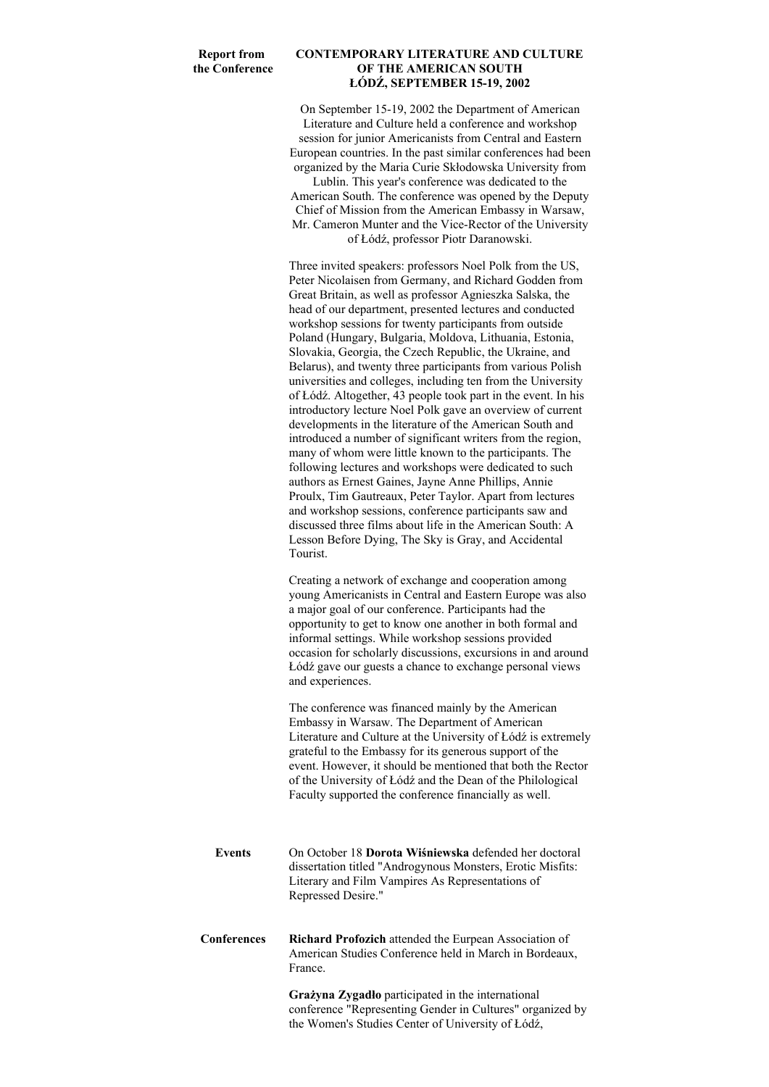## **Report from the Conference**

## **CONTEMPORARY LITERATURE AND CULTURE OF THE AMERICAN SOUTH ŁÓDŹ, SEPTEMBER 15-19, 2002**

On September 15-19, 2002 the Department of American Literature and Culture held a conference and workshop session for junior Americanists from Central and Eastern European countries. In the past similar conferences had been organized by the Maria Curie Skłodowska University from

Lublin. This year's conference was dedicated to the American South. The conference was opened by the Deputy Chief of Mission from the American Embassy in Warsaw, Mr. Cameron Munter and the Vice-Rector of the University of Łódź, professor Piotr Daranowski.

Three invited speakers: professors Noel Polk from the US, Peter Nicolaisen from Germany, and Richard Godden from Great Britain, as well as professor Agnieszka Salska, the head of our department, presented lectures and conducted workshop sessions for twenty participants from outside Poland (Hungary, Bulgaria, Moldova, Lithuania, Estonia, Slovakia, Georgia, the Czech Republic, the Ukraine, and Belarus), and twenty three participants from various Polish universities and colleges, including ten from the University of Łódź. Altogether, 43 people took part in the event. In his introductory lecture Noel Polk gave an overview of current developments in the literature of the American South and introduced a number of significant writers from the region, many of whom were little known to the participants. The following lectures and workshops were dedicated to such authors as Ernest Gaines, Jayne Anne Phillips, Annie Proulx, Tim Gautreaux, Peter Taylor. Apart from lectures and workshop sessions, conference participants saw and discussed three films about life in the American South: A Lesson Before Dying, The Sky is Gray, and Accidental Tourist.

Creating a network of exchange and cooperation among young Americanists in Central and Eastern Europe was also a major goal of our conference. Participants had the opportunity to get to know one another in both formal and informal settings. While workshop sessions provided occasion for scholarly discussions, excursions in and around Łódź gave our guests a chance to exchange personal views and experiences.

The conference was financed mainly by the American Embassy in Warsaw. The Department of American Literature and Culture at the University of Łódź is extremely grateful to the Embassy for its generous support of the event. However, it should be mentioned that both the Rector of the University of Łódź and the Dean of the Philological Faculty supported the conference financially as well.

| Events | On October 18 Dorota Wiśniewska defended her doctoral       |
|--------|-------------------------------------------------------------|
|        | dissertation titled "Androgynous Monsters, Erotic Misfits." |
|        | Literary and Film Vampires As Representations of            |
|        | Repressed Desire."                                          |
|        |                                                             |

**Conferences Richard Profozich** attended the Eurpean Association of American Studies Conference held in March in Bordeaux, France.

> **Grażyna Zygadło** participated in the international conference "Representing Gender in Cultures" organized by the Women's Studies Center of University of Łódź,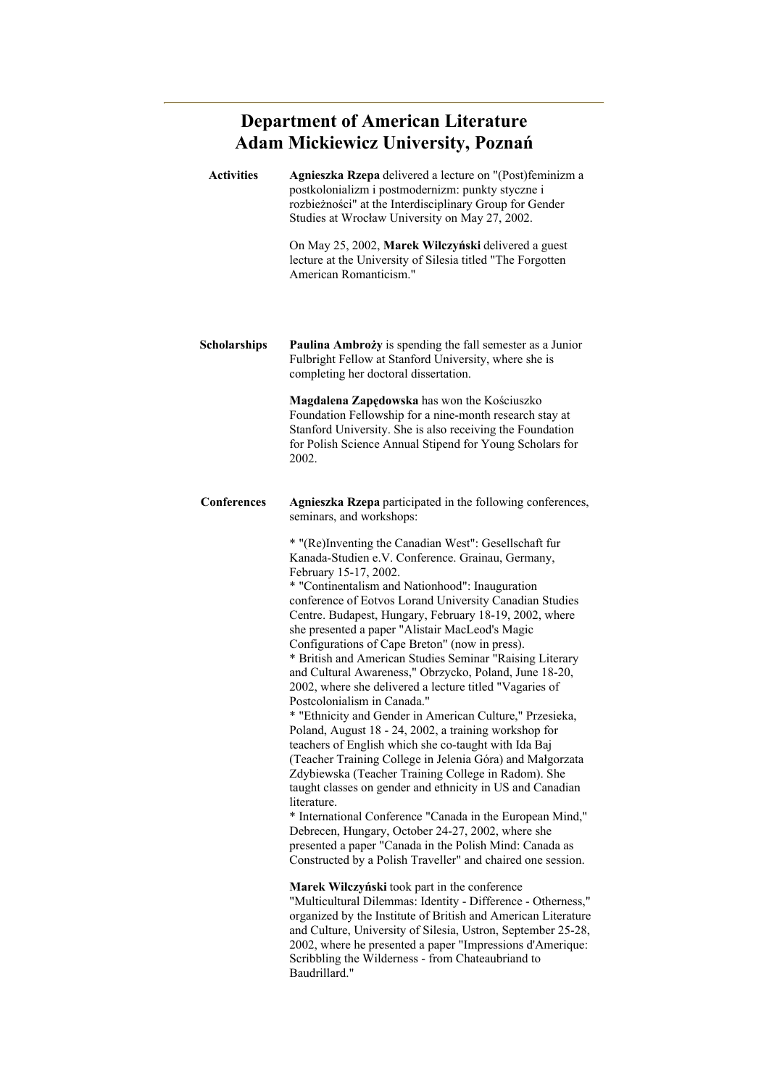# **Department of American Literature Adam Mickiewicz University, Poznań**

| <b>Activities</b>   | Agnieszka Rzepa delivered a lecture on "(Post)feminizm a<br>postkolonializm i postmodernizm: punkty styczne i<br>rozbieżności" at the Interdisciplinary Group for Gender<br>Studies at Wrocław University on May 27, 2002.                                                                                                                                                                                                                                                                                                                                                                                                                                                                                                                                                                                                                                                                                                                                                                                                                                                                                                                                                                                                                                                                                                                                                                                                                                                                                                                                                                                                                    |
|---------------------|-----------------------------------------------------------------------------------------------------------------------------------------------------------------------------------------------------------------------------------------------------------------------------------------------------------------------------------------------------------------------------------------------------------------------------------------------------------------------------------------------------------------------------------------------------------------------------------------------------------------------------------------------------------------------------------------------------------------------------------------------------------------------------------------------------------------------------------------------------------------------------------------------------------------------------------------------------------------------------------------------------------------------------------------------------------------------------------------------------------------------------------------------------------------------------------------------------------------------------------------------------------------------------------------------------------------------------------------------------------------------------------------------------------------------------------------------------------------------------------------------------------------------------------------------------------------------------------------------------------------------------------------------|
|                     | On May 25, 2002, Marek Wilczyński delivered a guest<br>lecture at the University of Silesia titled "The Forgotten<br>American Romanticism."                                                                                                                                                                                                                                                                                                                                                                                                                                                                                                                                                                                                                                                                                                                                                                                                                                                                                                                                                                                                                                                                                                                                                                                                                                                                                                                                                                                                                                                                                                   |
| <b>Scholarships</b> | Paulina Ambroży is spending the fall semester as a Junior<br>Fulbright Fellow at Stanford University, where she is<br>completing her doctoral dissertation.                                                                                                                                                                                                                                                                                                                                                                                                                                                                                                                                                                                                                                                                                                                                                                                                                                                                                                                                                                                                                                                                                                                                                                                                                                                                                                                                                                                                                                                                                   |
|                     | Magdalena Zapędowska has won the Kościuszko<br>Foundation Fellowship for a nine-month research stay at<br>Stanford University. She is also receiving the Foundation<br>for Polish Science Annual Stipend for Young Scholars for<br>2002.                                                                                                                                                                                                                                                                                                                                                                                                                                                                                                                                                                                                                                                                                                                                                                                                                                                                                                                                                                                                                                                                                                                                                                                                                                                                                                                                                                                                      |
| <b>Conferences</b>  | Agnieszka Rzepa participated in the following conferences,<br>seminars, and workshops.                                                                                                                                                                                                                                                                                                                                                                                                                                                                                                                                                                                                                                                                                                                                                                                                                                                                                                                                                                                                                                                                                                                                                                                                                                                                                                                                                                                                                                                                                                                                                        |
|                     | * "(Re)Inventing the Canadian West": Gesellschaft fur<br>Kanada-Studien e.V. Conference. Grainau, Germany,<br>February 15-17, 2002.<br>* "Continentalism and Nationhood": Inauguration<br>conference of Eotvos Lorand University Canadian Studies<br>Centre. Budapest, Hungary, February 18-19, 2002, where<br>she presented a paper "Alistair MacLeod's Magic<br>Configurations of Cape Breton" (now in press).<br>* British and American Studies Seminar "Raising Literary<br>and Cultural Awareness," Obrzycko, Poland, June 18-20,<br>2002, where she delivered a lecture titled "Vagaries of<br>Postcolonialism in Canada."<br>* "Ethnicity and Gender in American Culture," Przesieka,<br>Poland, August 18 - 24, 2002, a training workshop for<br>teachers of English which she co-taught with Ida Baj<br>(Teacher Training College in Jelenia Góra) and Małgorzata<br>Zdybiewska (Teacher Training College in Radom). She<br>taught classes on gender and ethnicity in US and Canadian<br>literature.<br>* International Conference "Canada in the European Mind,"<br>Debrecen, Hungary, October 24-27, 2002, where she<br>presented a paper "Canada in the Polish Mind: Canada as<br>Constructed by a Polish Traveller" and chaired one session.<br>Marek Wilczyński took part in the conference<br>"Multicultural Dilemmas: Identity - Difference - Otherness,"<br>organized by the Institute of British and American Literature<br>and Culture, University of Silesia, Ustron, September 25-28,<br>2002, where he presented a paper "Impressions d'Amerique:<br>Scribbling the Wilderness - from Chateaubriand to<br>Baudrillard." |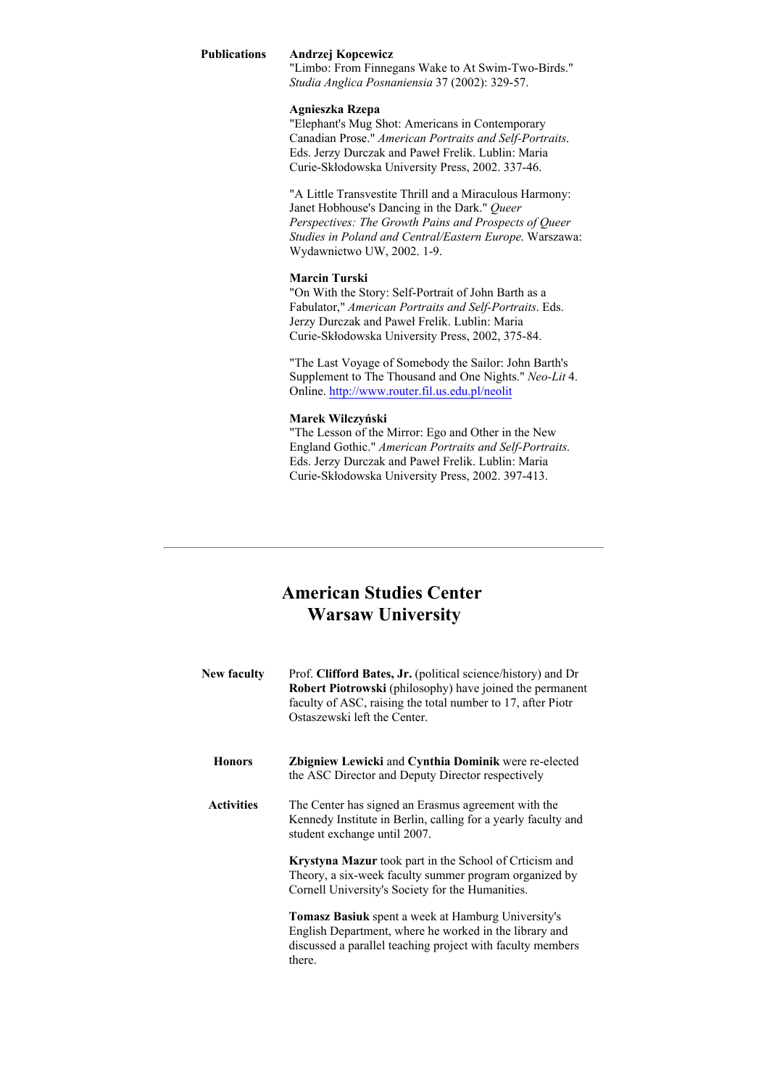### **Publications Andrzej Kopcewicz**

"Limbo: From Finnegans Wake to At Swim-Two-Birds." *Studia Anglica Posnaniensia* 37 (2002): 329-57.

### **Agnieszka Rzepa**

"Elephant's Mug Shot: Americans in Contemporary Canadian Prose." *American Portraits and Self-Portraits*. Eds. Jerzy Durczak and Paweł Frelik. Lublin: Maria Curie-Skłodowska University Press, 2002. 337-46.

"A Little Transvestite Thrill and a Miraculous Harmony: Janet Hobhouse's Dancing in the Dark." *Queer Perspectives: The Growth Pains and Prospects of Queer Studies in Poland and Central/Eastern Europe*. Warszawa: Wydawnictwo UW, 2002. 1-9.

### **Marcin Turski**

"On With the Story: Self-Portrait of John Barth as a Fabulator," *American Portraits and Self-Portraits*. Eds. Jerzy Durczak and Paweł Frelik. Lublin: Maria Curie-Skłodowska University Press, 2002, 375-84.

"The Last Voyage of Somebody the Sailor: John Barth's Supplement to The Thousand and One Nights." *Neo-Lit* 4. Online. http://www.router.fil.us.edu.pl/neolit

## **Marek Wilczyński**

"The Lesson of the Mirror: Ego and Other in the New England Gothic." *American Portraits and Self-Portraits*. Eds. Jerzy Durczak and Paweł Frelik. Lublin: Maria Curie-Skłodowska University Press, 2002. 397-413.

## **American Studies Center Warsaw University**

| New faculty       | Prof. Clifford Bates, Jr. (political science/history) and Dr<br>Robert Piotrowski (philosophy) have joined the permanent<br>faculty of ASC, raising the total number to 17, after Piotr<br>Ostaszewski left the Center. |
|-------------------|-------------------------------------------------------------------------------------------------------------------------------------------------------------------------------------------------------------------------|
| <b>Honors</b>     | <b>Zbigniew Lewicki and Cynthia Dominik were re-elected</b><br>the ASC Director and Deputy Director respectively                                                                                                        |
| <b>Activities</b> | The Center has signed an Erasmus agreement with the<br>Kennedy Institute in Berlin, calling for a yearly faculty and<br>student exchange until 2007.                                                                    |
|                   | <b>Krystyna Mazur</b> took part in the School of Crticism and<br>Theory, a six-week faculty summer program organized by<br>Cornell University's Society for the Humanities.                                             |
|                   | <b>Tomasz Basiuk</b> spent a week at Hamburg University's<br>English Department, where he worked in the library and<br>discussed a parallel teaching project with faculty members<br>there.                             |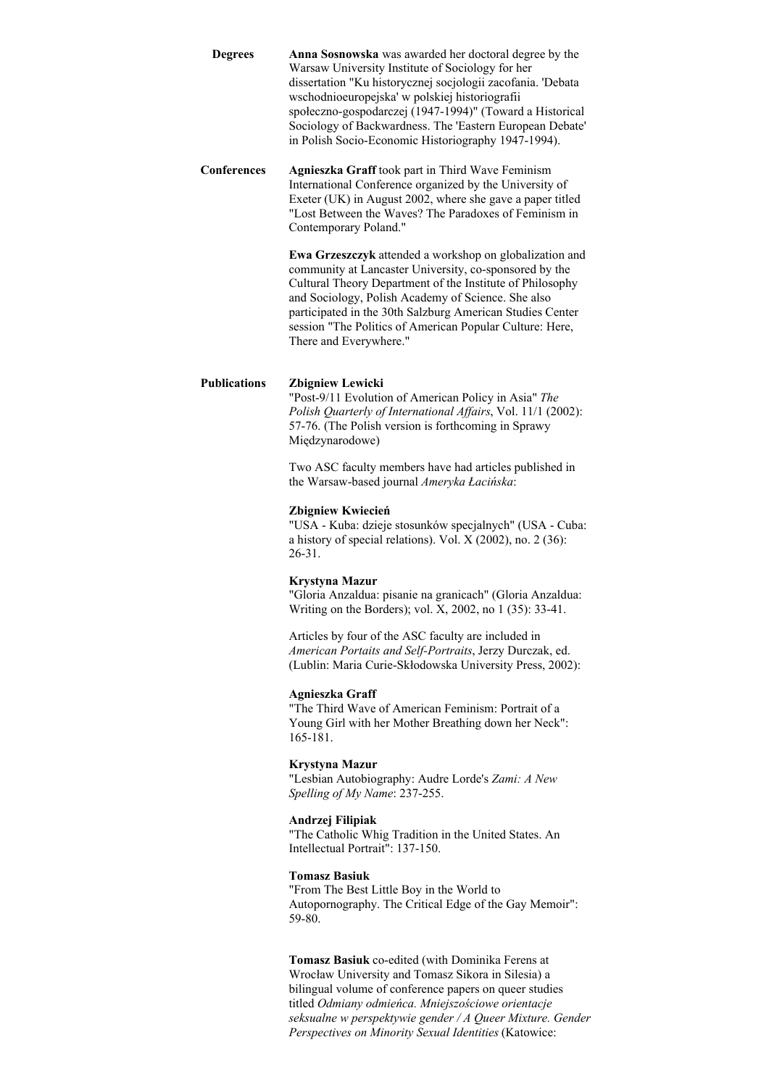| Degrees    | <b>Anna Sosnowska</b> was awarded her doctoral degree by the |
|------------|--------------------------------------------------------------|
|            | Warsaw University Institute of Sociology for her             |
|            | dissertation "Ku historycznej socjologii zacofania. 'Debata  |
|            | wschodnioeuropejska' w polskiej historiografii               |
|            | społeczno-gospodarczej (1947-1994)" (Toward a Historical     |
|            | Sociology of Backwardness. The 'Eastern European Debate'     |
|            | in Polish Socio-Economic Historiography 1947-1994).          |
| rnforoncos | Agnierals Craff took part in Third Wave Feminism             |

**Conferences Agnieszka Graff** took part in Third Wave Feminism International Conference organized by the University of Exeter (UK) in August 2002, where she gave a paper titled "Lost Between the Waves? The Paradoxes of Feminism in Contemporary Poland."

> **Ewa Grzeszczyk** attended a workshop on globalization and community at Lancaster University, co-sponsored by the Cultural Theory Department of the Institute of Philosophy and Sociology, Polish Academy of Science. She also participated in the 30th Salzburg American Studies Center session "The Politics of American Popular Culture: Here, There and Everywhere."

## **Publications Zbigniew Lewicki**

"Post-9/11 Evolution of American Policy in Asia" *The Polish Quarterly of International Affairs*, Vol. 11/1 (2002): 57-76. (The Polish version is forthcoming in Sprawy Międzynarodowe)

Two ASC faculty members have had articles published in the Warsaw-based journal *Ameryka Łacińska*:

### **Zbigniew Kwiecień**

"USA - Kuba: dzieje stosunków specjalnych" (USA - Cuba: a history of special relations). Vol. X (2002), no. 2 (36): 26-31.

#### **Krystyna Mazur**

"Gloria Anzaldua: pisanie na granicach" (Gloria Anzaldua: Writing on the Borders); vol. X, 2002, no 1 (35): 33-41.

Articles by four of the ASC faculty are included in *American Portaits and Self-Portraits*, Jerzy Durczak, ed. (Lublin: Maria Curie-Skłodowska University Press, 2002):

#### **Agnieszka Graff**

"The Third Wave of American Feminism: Portrait of a Young Girl with her Mother Breathing down her Neck": 165-181.

#### **Krystyna Mazur**

"Lesbian Autobiography: Audre Lorde's *Zami: A New Spelling of My Name*: 237-255.

#### **Andrzej Filipiak**

"The Catholic Whig Tradition in the United States. An Intellectual Portrait": 137-150.

#### **Tomasz Basiuk**

"From The Best Little Boy in the World to Autopornography. The Critical Edge of the Gay Memoir": 59-80.

**Tomasz Basiuk** co-edited (with Dominika Ferens at Wrocław University and Tomasz Sikora in Silesia) a bilingual volume of conference papers on queer studies titled *Odmiany odmieńca. Mniejszościowe orientacje seksualne w perspektywie gender / A Queer Mixture. Gender Perspectives on Minority Sexual Identities* (Katowice: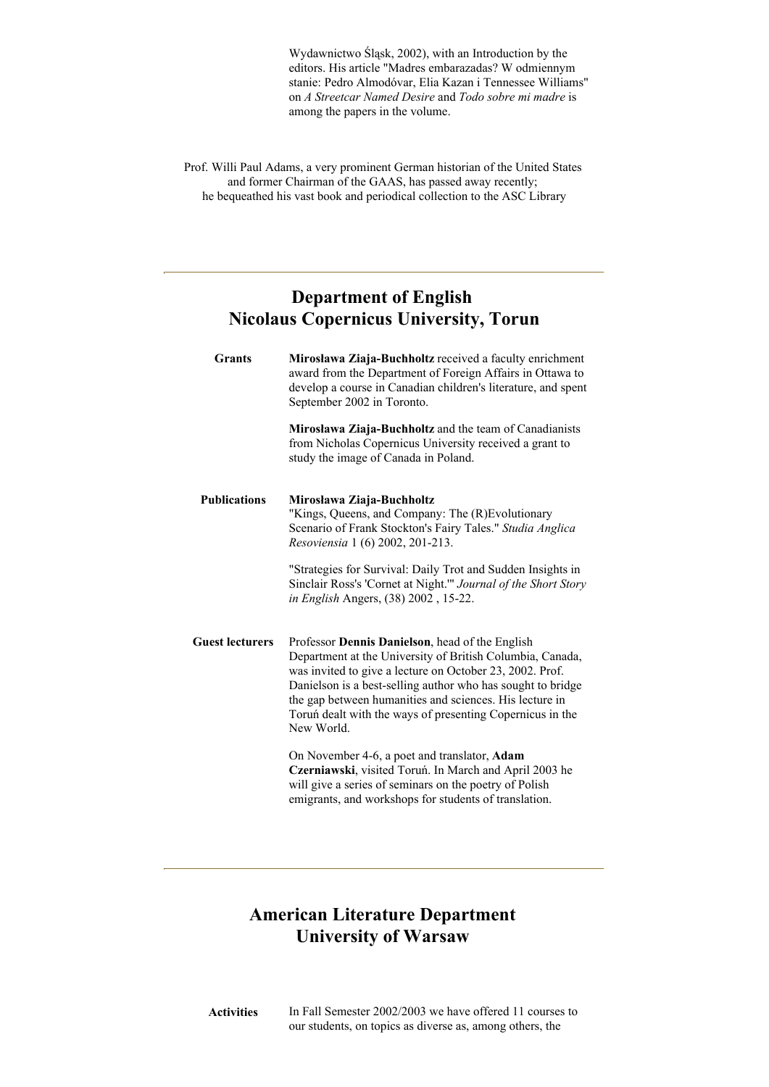Wydawnictwo Śląsk, 2002), with an Introduction by the editors. His article "Madres embarazadas? W odmiennym stanie: Pedro Almodóvar, Elia Kazan i Tennessee Williams" on *A Streetcar Named Desire* and *Todo sobre mi madre* is among the papers in the volume.

Prof. Willi Paul Adams, a very prominent German historian of the United States and former Chairman of the GAAS, has passed away recently; he bequeathed his vast book and periodical collection to the ASC Library

# **Department of English Nicolaus Copernicus University, Torun**

| <b>Grants</b>          | Mirosława Ziaja-Buchholtz received a faculty enrichment<br>award from the Department of Foreign Affairs in Ottawa to<br>develop a course in Canadian children's literature, and spent<br>September 2002 in Toronto.                                                                                                                                                           |
|------------------------|-------------------------------------------------------------------------------------------------------------------------------------------------------------------------------------------------------------------------------------------------------------------------------------------------------------------------------------------------------------------------------|
|                        | <b>Mirosława Ziaja-Buchholtz</b> and the team of Canadianists<br>from Nicholas Copernicus University received a grant to<br>study the image of Canada in Poland.                                                                                                                                                                                                              |
| <b>Publications</b>    | Mirosława Ziaja-Buchholtz<br>"Kings, Queens, and Company: The (R)Evolutionary<br>Scenario of Frank Stockton's Fairy Tales." Studia Anglica<br>Resoviensia 1 (6) 2002, 201-213.                                                                                                                                                                                                |
|                        | "Strategies for Survival: Daily Trot and Sudden Insights in<br>Sinclair Ross's 'Cornet at Night." Journal of the Short Story<br>in English Angers, (38) 2002, 15-22.                                                                                                                                                                                                          |
| <b>Guest lecturers</b> | Professor Dennis Danielson, head of the English<br>Department at the University of British Columbia, Canada,<br>was invited to give a lecture on October 23, 2002. Prof.<br>Danielson is a best-selling author who has sought to bridge<br>the gap between humanities and sciences. His lecture in<br>Toruń dealt with the ways of presenting Copernicus in the<br>New World. |
|                        | On November 4-6, a poet and translator, Adam<br>Czerniawski, visited Toruń. In March and April 2003 he<br>will give a series of seminars on the poetry of Polish<br>emigrants, and workshops for students of translation.                                                                                                                                                     |

# **American Literature Department University of Warsaw**

**Activities** In Fall Semester 2002/2003 we have offered 11 courses to our students, on topics as diverse as, among others, the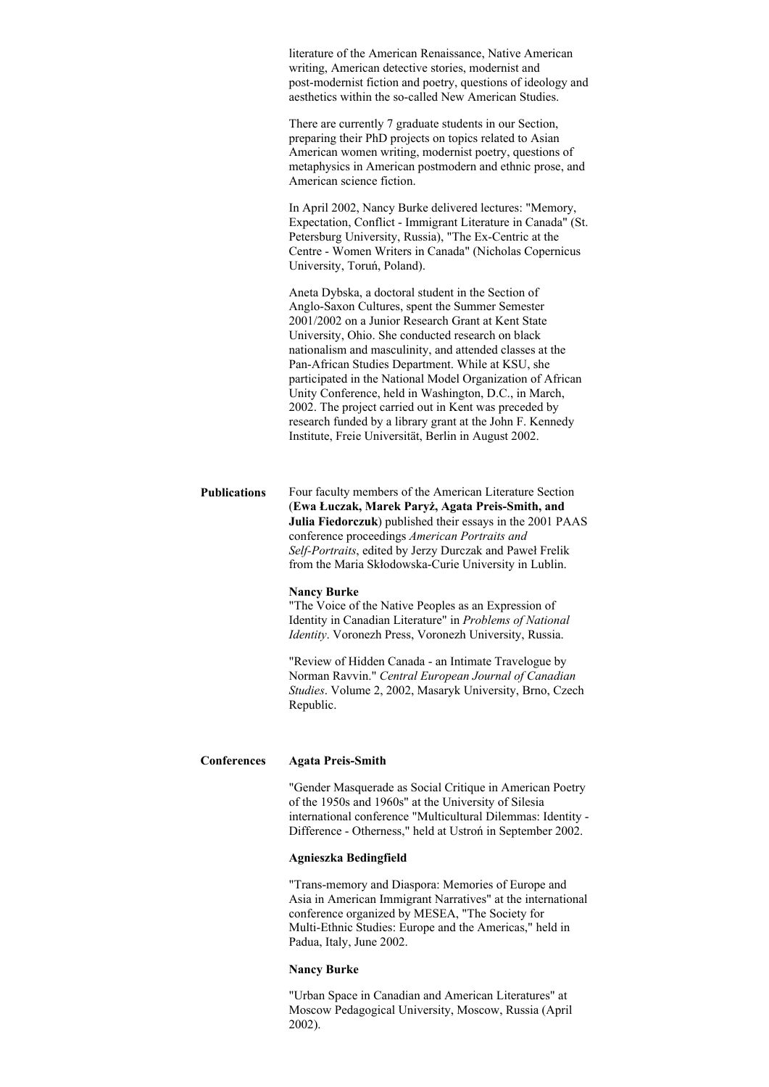literature of the American Renaissance, Native American writing, American detective stories, modernist and post-modernist fiction and poetry, questions of ideology and aesthetics within the so-called New American Studies.

There are currently 7 graduate students in our Section, preparing their PhD projects on topics related to Asian American women writing, modernist poetry, questions of metaphysics in American postmodern and ethnic prose, and American science fiction.

In April 2002, Nancy Burke delivered lectures: "Memory, Expectation, Conflict - Immigrant Literature in Canada" (St. Petersburg University, Russia), "The Ex-Centric at the Centre - Women Writers in Canada" (Nicholas Copernicus University, Toruń, Poland).

Aneta Dybska, a doctoral student in the Section of Anglo-Saxon Cultures, spent the Summer Semester 2001/2002 on a Junior Research Grant at Kent State University, Ohio. She conducted research on black nationalism and masculinity, and attended classes at the Pan-African Studies Department. While at KSU, she participated in the National Model Organization of African Unity Conference, held in Washington, D.C., in March, 2002. The project carried out in Kent was preceded by research funded by a library grant at the John F. Kennedy Institute, Freie Universität, Berlin in August 2002.

**Publications** Four faculty members of the American Literature Section (**Ewa Łuczak, Marek Paryż, Agata Preis-Smith, and Julia Fiedorczuk**) published their essays in the 2001 PAAS conference proceedings *American Portraits and Self-Portraits*, edited by Jerzy Durczak and Paweł Frelik from the Maria Skłodowska-Curie University in Lublin.

#### **Nancy Burke**

"The Voice of the Native Peoples as an Expression of Identity in Canadian Literature" in *Problems of National Identity*. Voronezh Press, Voronezh University, Russia.

"Review of Hidden Canada - an Intimate Travelogue by Norman Ravvin." *Central European Journal of Canadian Studies*. Volume 2, 2002, Masaryk University, Brno, Czech Republic.

#### **Conferences Agata Preis-Smith**

"Gender Masquerade as Social Critique in American Poetry of the 1950s and 1960s" at the University of Silesia international conference "Multicultural Dilemmas: Identity - Difference - Otherness," held at Ustroń in September 2002.

#### **Agnieszka Bedingfield**

"Trans-memory and Diaspora: Memories of Europe and Asia in American Immigrant Narratives" at the international conference organized by MESEA, "The Society for Multi-Ethnic Studies: Europe and the Americas," held in Padua, Italy, June 2002.

#### **Nancy Burke**

"Urban Space in Canadian and American Literatures" at Moscow Pedagogical University, Moscow, Russia (April 2002).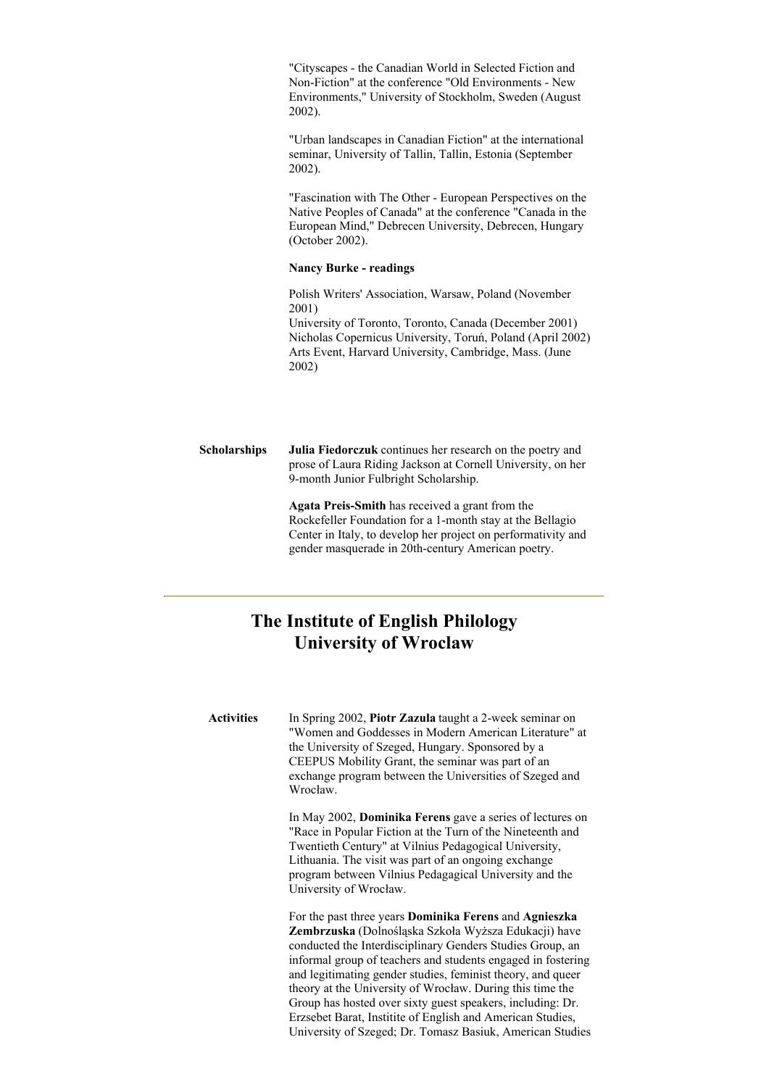"Cityscapes - the Canadian World in Selected Fiction and Non-Fiction" at the conference "Old Environments - New Environments," University of Stockholm, Sweden (August 2002).

"Urban landscapes in Canadian Fiction" at the international seminar, University of Tallin, Tallin, Estonia (September 2002).

"Fascination with The Other - European Perspectives on the Native Peoples of Canada" at the conference "Canada in the European Mind," Debrecen University, Debrecen, Hungary (October 2002).

## **Nancy Burke - readings**

Polish Writers' Association, Warsaw, Poland (November 2001)

University of Toronto, Toronto, Canada (December 2001) Nicholas Copernicus University, Toruń, Poland (April 2002) Arts Event, Harvard University, Cambridge, Mass. (June 2002)

**Scholarships Julia Fiedorczuk** continues her research on the poetry and prose of Laura Riding Jackson at Cornell University, on her 9-month Junior Fulbright Scholarship.

> **Agata Preis-Smith** has received a grant from the Rockefeller Foundation for a 1-month stay at the Bellagio Center in Italy, to develop her project on performativity and gender masquerade in 20th-century American poetry.

## **The Institute of English Philology University of Wroclaw**

**Activities** In Spring 2002, **Piotr Zazula** taught a 2-week seminar on "Women and Goddesses in Modern American Literature" at the University of Szeged, Hungary. Sponsored by a CEEPUS Mobility Grant, the seminar was part of an exchange program between the Universities of Szeged and Wrocław.

> In May 2002, **Dominika Ferens** gave a series of lectures on "Race in Popular Fiction at the Turn of the Nineteenth and Twentieth Century" at Vilnius Pedagogical University, Lithuania. The visit was part of an ongoing exchange program between Vilnius Pedagagical University and the University of Wrocław.

> For the past three years **Dominika Ferens** and **Agnieszka Zembrzuska** (Dolnośląska Szkoła Wyższa Edukacji) have conducted the Interdisciplinary Genders Studies Group, an informal group of teachers and students engaged in fostering and legitimating gender studies, feminist theory, and queer theory at the University of Wrocław. During this time the Group has hosted over sixty guest speakers, including: Dr. Erzsebet Barat, Institite of English and American Studies, University of Szeged; Dr. Tomasz Basiuk, American Studies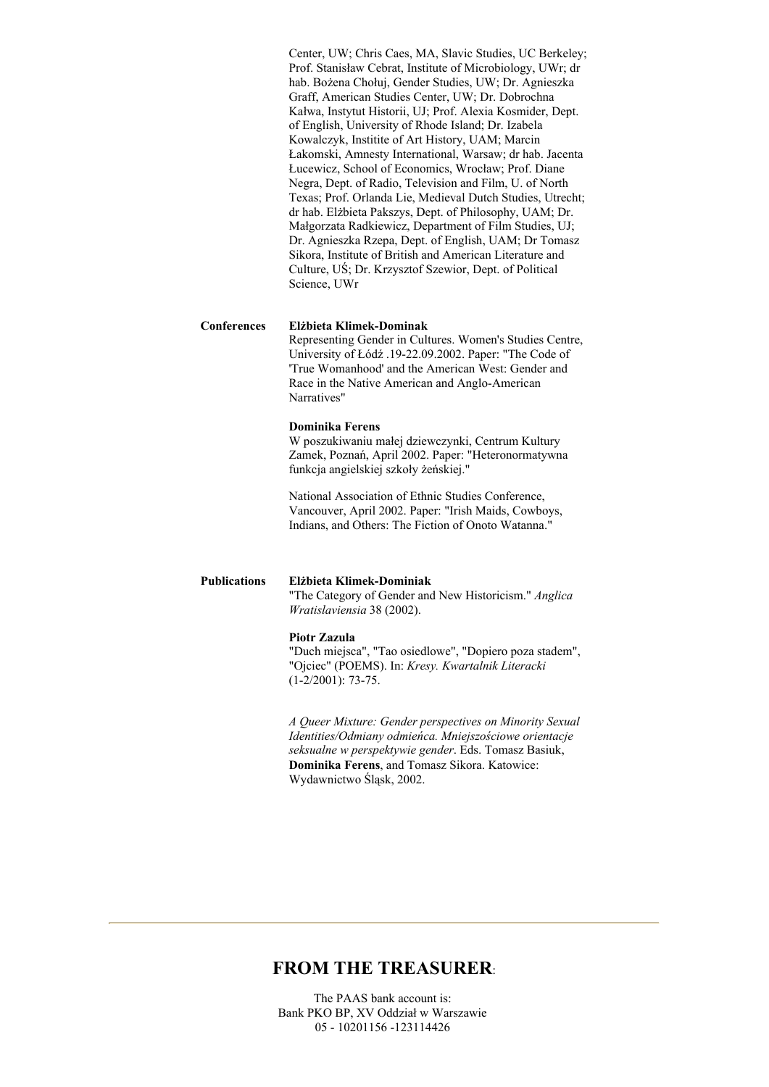Center, UW; Chris Caes, MA, Slavic Studies, UC Berkeley; Prof. Stanisław Cebrat, Institute of Microbiology, UWr; dr hab. Bożena Chołuj, Gender Studies, UW; Dr. Agnieszka Graff, American Studies Center, UW; Dr. Dobrochna Kałwa, Instytut Historii, UJ; Prof. Alexia Kosmider, Dept. of English, University of Rhode Island; Dr. Izabela Kowalczyk, Institite of Art History, UAM; Marcin Łakomski, Amnesty International, Warsaw; dr hab. Jacenta Łucewicz, School of Economics, Wrocław; Prof. Diane Negra, Dept. of Radio, Television and Film, U. of North Texas; Prof. Orlanda Lie, Medieval Dutch Studies, Utrecht; dr hab. Elżbieta Pakszys, Dept. of Philosophy, UAM; Dr. Małgorzata Radkiewicz, Department of Film Studies, UJ; Dr. Agnieszka Rzepa, Dept. of English, UAM; Dr Tomasz Sikora, Institute of British and American Literature and Culture, UŚ; Dr. Krzysztof Szewior, Dept. of Political Science, UWr

#### **Conferences Elżbieta Klimek-Dominak**

Representing Gender in Cultures. Women's Studies Centre, University of Łódź .19-22.09.2002. Paper: "The Code of 'True Womanhood' and the American West: Gender and Race in the Native American and Anglo-American Narratives"

#### **Dominika Ferens**

W poszukiwaniu małej dziewczynki, Centrum Kultury Zamek, Poznań, April 2002. Paper: "Heteronormatywna funkcja angielskiej szkoły żeńskiej."

National Association of Ethnic Studies Conference, Vancouver, April 2002. Paper: "Irish Maids, Cowboys, Indians, and Others: The Fiction of Onoto Watanna."

## **Publications Elżbieta Klimek-Dominiak**

"The Category of Gender and New Historicism." *Anglica Wratislaviensia* 38 (2002).

### **Piotr Zazula**

"Duch miejsca", "Tao osiedlowe", "Dopiero poza stadem", "Ojciec" (POEMS). In: *Kresy. Kwartalnik Literacki* (1-2/2001): 73-75.

*A Queer Mixture: Gender perspectives on Minority Sexual Identities/Odmiany odmieńca. Mniejszościowe orientacje seksualne w perspektywie gender*. Eds. Tomasz Basiuk, **Dominika Ferens**, and Tomasz Sikora. Katowice: Wydawnictwo Śląsk, 2002.

## **FROM THE TREASURER**:

The PAAS bank account is: Bank PKO BP, XV Oddział w Warszawie 05 - 10201156 -123114426